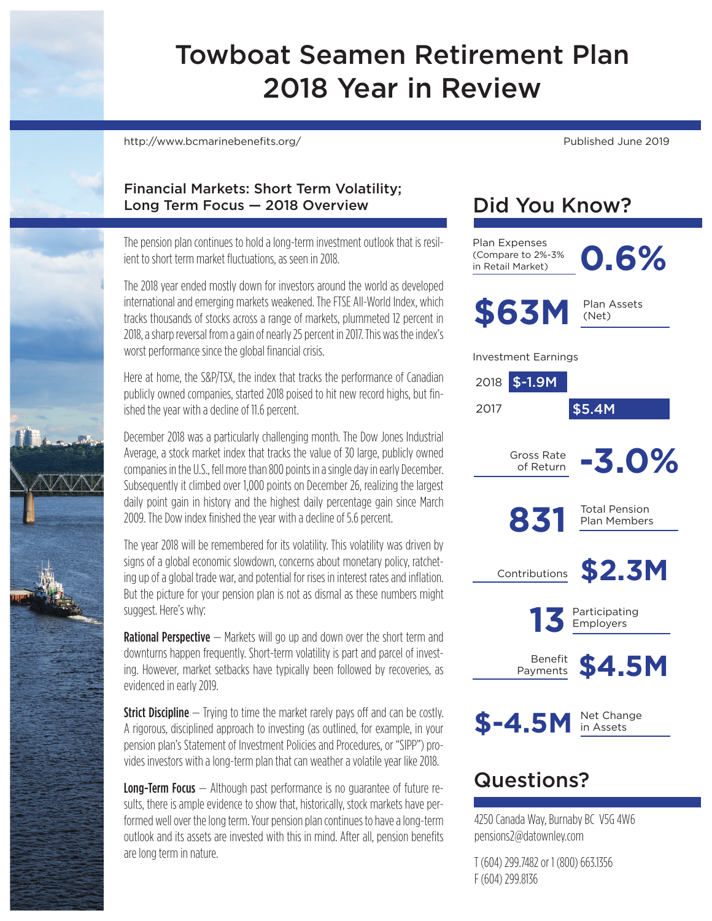# Towboat Seamen Retirement Plan 2018 Year in Review

http://www.bcmarinebenefits.org/ Published June 2019

#### Financial Markets: Short Term Volatility; Long Term Focus — 2018 Overview

The pension plan continues to hold a long-term investment outlook that is resilient to short term market fluctuations, as seen in 2018.

The 2018 year ended mostly down for investors around the world as developed international and emerging markets weakened. The FTSE All-World Index, which tracks thousands of stocks across a range of markets, plummeted 12 percent in 2018, a sharp reversal from a gain of nearly 25 percent in 2017. This was the index's worst performance since the global financial crisis.

Here at home, the S&P/TSX, the index that tracks the performance of Canadian publicly owned companies, started 2018 poised to hit new record highs, but finished the year with a decline of 11.6 percent.

December 2018 was a particularly challenging month. The Dow Jones Industrial Average, a stock market index that tracks the value of 30 large, publicly owned companies in the U.S., fell more than 800 points in a single day in early December. Subsequently it climbed over 1,000 points on December 26, realizing the largest daily point gain in history and the highest daily percentage gain since March 2009. The Dow index finished the year with a decline of 5.6 percent.

The year 2018 will be remembered for its volatility. This volatility was driven by signs of a global economic slowdown, concerns about monetary policy, ratcheting up of a global trade war, and potential for rises in interest rates and inflation. But the picture for your pension plan is not as dismal as these numbers might suggest. Here's why:

**Rational Perspective** – Markets will go up and down over the short term and downturns happen frequently. Short-term volatility is part and parcel of investing. However, market setbacks have typically been followed by recoveries, as evidenced in early 2019.

**Strict Discipline**  $-$  Trying to time the market rarely pays off and can be costly. A rigorous, disciplined approach to investing (as outlined, for example, in your pension plan's Statement of Investment Policies and Procedures, or "SIPP") provides investors with a long-term plan that can weather a volatile year like 2018.

**Long-Term Focus** – Although past performance is no quarantee of future results, there is ample evidence to show that, historically, stock markets have performed well over the long term. Your pension plan continues to have a long-term outlook and its assets are invested with this in mind. After all, pension benefits are long term in nature.

# Did You Know?

Plan Expenses<br>(Compare to 2%-3%<br>in Retail Market) (Compare to 2%-3% in Retail Market)



\$63M Plan Assets

Investment Earnings



**\$-4.5M**

Net Change in Assets

### Questions?

4250 Canada Way, Burnaby BC V5G 4W6 pensions2@datownley.com

T (604) 299.7482 or 1 (800) 663.1356 F (604) 299.8136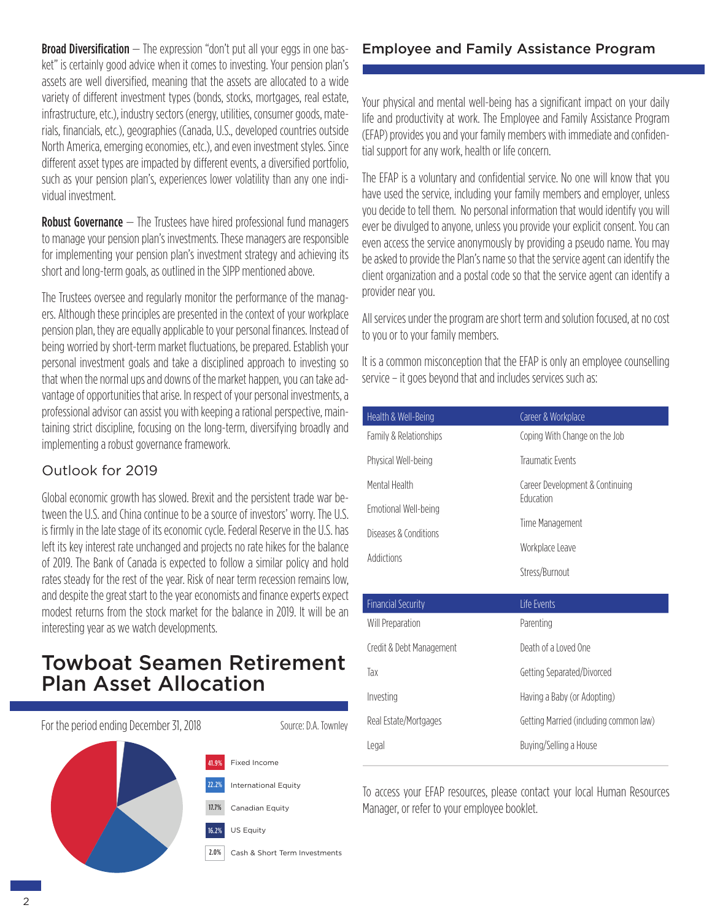**Broad Diversification**  $-$  The expression "don't put all your eggs in one basket" is certainly good advice when it comes to investing. Your pension plan's assets are well diversified, meaning that the assets are allocated to a wide variety of different investment types (bonds, stocks, mortgages, real estate, infrastructure, etc.), industry sectors (energy, utilities, consumer goods, materials, financials, etc.), geographies (Canada, U.S., developed countries outside North America, emerging economies, etc.), and even investment styles. Since different asset types are impacted by different events, a diversified portfolio, such as your pension plan's, experiences lower volatility than any one individual investment.

**Robust Governance** – The Trustees have hired professional fund managers to manage your pension plan's investments. These managers are responsible for implementing your pension plan's investment strategy and achieving its short and long-term goals, as outlined in the SIPP mentioned above.

The Trustees oversee and regularly monitor the performance of the managers. Although these principles are presented in the context of your workplace pension plan, they are equally applicable to your personal finances. Instead of being worried by short-term market fluctuations, be prepared. Establish your personal investment goals and take a disciplined approach to investing so that when the normal ups and downs of the market happen, you can take advantage of opportunities that arise. In respect of your personal investments, a professional advisor can assist you with keeping a rational perspective, maintaining strict discipline, focusing on the long-term, diversifying broadly and implementing a robust governance framework.

#### Outlook for 2019

Global economic growth has slowed. Brexit and the persistent trade war between the U.S. and China continue to be a source of investors' worry. The U.S. is firmly in the late stage of its economic cycle. Federal Reserve in the U.S. has left its key interest rate unchanged and projects no rate hikes for the balance of 2019. The Bank of Canada is expected to follow a similar policy and hold rates steady for the rest of the year. Risk of near term recession remains low, and despite the great start to the year economists and finance experts expect modest returns from the stock market for the balance in 2019. It will be an interesting year as we watch developments.

### Towboat Seamen Retirement Plan Asset Allocation



### Employee and Family Assistance Program

Your physical and mental well-being has a significant impact on your daily life and productivity at work. The Employee and Family Assistance Program (EFAP) provides you and your family members with immediate and confidential support for any work, health or life concern.

The EFAP is a voluntary and confidential service. No one will know that you have used the service, including your family members and employer, unless you decide to tell them. No personal information that would identify you will ever be divulged to anyone, unless you provide your explicit consent. You can even access the service anonymously by providing a pseudo name. You may be asked to provide the Plan's name so that the service agent can identify the client organization and a postal code so that the service agent can identify a provider near you.

All services under the program are short term and solution focused, at no cost to you or to your family members.

It is a common misconception that the EFAP is only an employee counselling service – it goes beyond that and includes services such as:

| Health & Well-Being    | Career & Workplace              |  |
|------------------------|---------------------------------|--|
| Family & Relationships | Coping With Change on the Job   |  |
| Physical Well-being    | Traumatic Events                |  |
| Mental Health          | Career Development & Continuing |  |
| Emotional Well-being   | <b>Fducation</b>                |  |
| Diseases & Conditions  | Time Management                 |  |
| Addictions             | Workplace Leave                 |  |
|                        | Stress/Burnout                  |  |

| Financial Security       | Life Events                            |
|--------------------------|----------------------------------------|
| Will Preparation         | Parenting                              |
| Credit & Debt Management | Death of a Loved One                   |
| Тах                      | Getting Separated/Divorced             |
| Investing                | Having a Baby (or Adopting)            |
| Real Estate/Mortgages    | Getting Married (including common law) |
| Legal                    | Buying/Selling a House                 |

To access your EFAP resources, please contact your local Human Resources Manager, or refer to your employee booklet.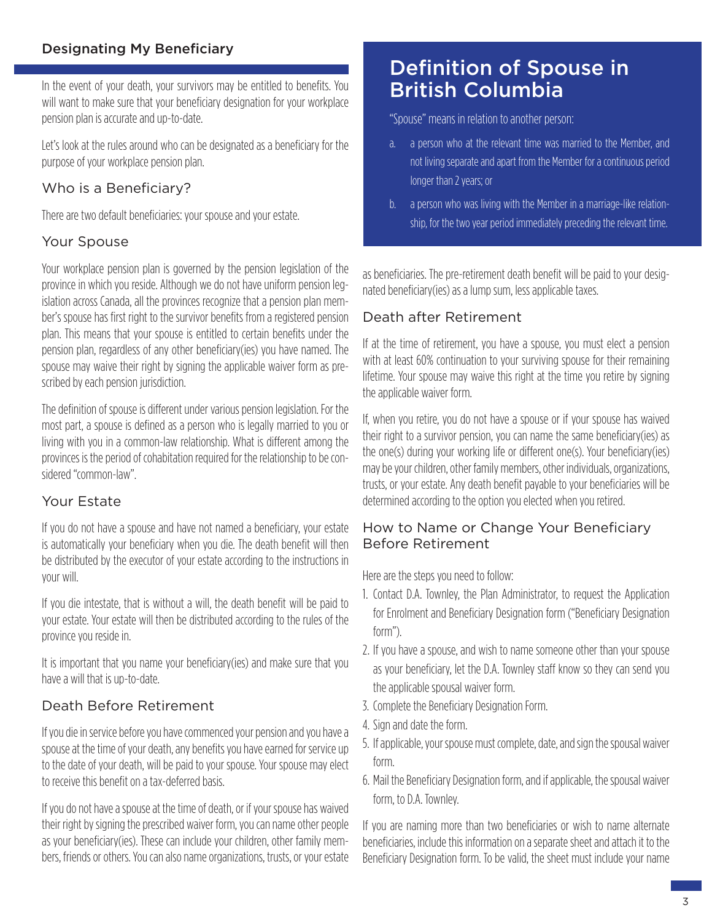#### Designating My Beneficiary

In the event of your death, your survivors may be entitled to benefits. You will want to make sure that your beneficiary designation for your workplace pension plan is accurate and up-to-date.

Let's look at the rules around who can be designated as a beneficiary for the purpose of your workplace pension plan.

#### Who is a Beneficiary?

There are two default beneficiaries: your spouse and your estate.

#### Your Spouse

Your workplace pension plan is governed by the pension legislation of the province in which you reside. Although we do not have uniform pension legislation across Canada, all the provinces recognize that a pension plan member's spouse has first right to the survivor benefits from a registered pension plan. This means that your spouse is entitled to certain benefits under the pension plan, regardless of any other beneficiary(ies) you have named. The spouse may waive their right by signing the applicable waiver form as prescribed by each pension jurisdiction.

The definition of spouse is different under various pension legislation. For the most part, a spouse is defined as a person who is legally married to you or living with you in a common-law relationship. What is different among the provinces is the period of cohabitation required for the relationship to be considered "common-law".

#### Your Estate

If you do not have a spouse and have not named a beneficiary, your estate is automatically your beneficiary when you die. The death benefit will then be distributed by the executor of your estate according to the instructions in your will.

If you die intestate, that is without a will, the death benefit will be paid to your estate. Your estate will then be distributed according to the rules of the province you reside in.

It is important that you name your beneficiary(ies) and make sure that you have a will that is up-to-date.

#### Death Before Retirement

If you die in service before you have commenced your pension and you have a spouse at the time of your death, any benefits you have earned for service up to the date of your death, will be paid to your spouse. Your spouse may elect to receive this benefit on a tax-deferred basis.

If you do not have a spouse at the time of death, or if your spouse has waived their right by signing the prescribed waiver form, you can name other people as your beneficiary(ies). These can include your children, other family members, friends or others. You can also name organizations, trusts, or your estate

### Definition of Spouse in British Columbia

"Spouse" means in relation to another person:

- a. a person who at the relevant time was married to the Member, and not living separate and apart from the Member for a continuous period longer than 2 years; or
- b. a person who was living with the Member in a marriage-like relationship, for the two year period immediately preceding the relevant time.

as beneficiaries. The pre-retirement death benefit will be paid to your designated beneficiary(ies) as a lump sum, less applicable taxes.

#### Death after Retirement

If at the time of retirement, you have a spouse, you must elect a pension with at least 60% continuation to your surviving spouse for their remaining lifetime. Your spouse may waive this right at the time you retire by signing the applicable waiver form.

If, when you retire, you do not have a spouse or if your spouse has waived their right to a survivor pension, you can name the same beneficiary(ies) as the one(s) during your working life or different one(s). Your beneficiary(ies) may be your children, other family members, other individuals, organizations, trusts, or your estate. Any death benefit payable to your beneficiaries will be determined according to the option you elected when you retired.

#### How to Name or Change Your Beneficiary Before Retirement

Here are the steps you need to follow:

- 1. Contact D.A. Townley, the Plan Administrator, to request the Application for Enrolment and Beneficiary Designation form ("Beneficiary Designation form").
- 2. If you have a spouse, and wish to name someone other than your spouse as your beneficiary, let the D.A. Townley staff know so they can send you the applicable spousal waiver form.
- 3. Complete the Beneficiary Designation Form.
- 4. Sign and date the form.
- 5. If applicable, your spouse must complete, date, and sign the spousal waiver form.
- 6. Mail the Beneficiary Designation form, and if applicable, the spousal waiver form, to D.A. Townley.

If you are naming more than two beneficiaries or wish to name alternate beneficiaries, include this information on a separate sheet and attach it to the Beneficiary Designation form. To be valid, the sheet must include your name